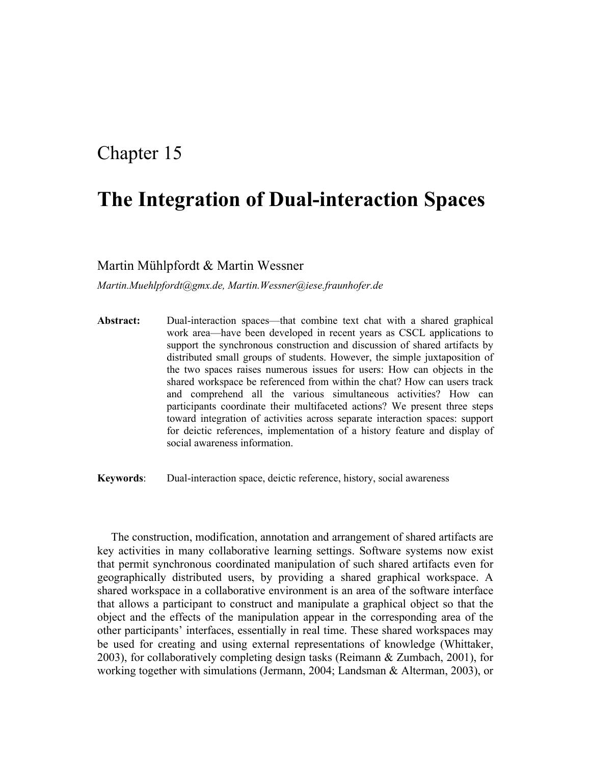# Chapter 15

# **The Integration of Dual-interaction Spaces**

Martin Mühlpfordt & Martin Wessner

*Martin.Muehlpfordt@gmx.de, Martin.Wessner@iese.fraunhofer.de*

**Abstract:** Dual-interaction spaces—that combine text chat with a shared graphical work area—have been developed in recent years as CSCL applications to support the synchronous construction and discussion of shared artifacts by distributed small groups of students. However, the simple juxtaposition of the two spaces raises numerous issues for users: How can objects in the shared workspace be referenced from within the chat? How can users track and comprehend all the various simultaneous activities? How can participants coordinate their multifaceted actions? We present three steps toward integration of activities across separate interaction spaces: support for deictic references, implementation of a history feature and display of social awareness information.

**Keywords**: Dual-interaction space, deictic reference, history, social awareness

The construction, modification, annotation and arrangement of shared artifacts are key activities in many collaborative learning settings. Software systems now exist that permit synchronous coordinated manipulation of such shared artifacts even for geographically distributed users, by providing a shared graphical workspace. A shared workspace in a collaborative environment is an area of the software interface that allows a participant to construct and manipulate a graphical object so that the object and the effects of the manipulation appear in the corresponding area of the other participants' interfaces, essentially in real time. These shared workspaces may be used for creating and using external representations of knowledge (Whittaker, 2003), for collaboratively completing design tasks (Reimann & Zumbach, 2001), for working together with simulations (Jermann, 2004; Landsman & Alterman, 2003), or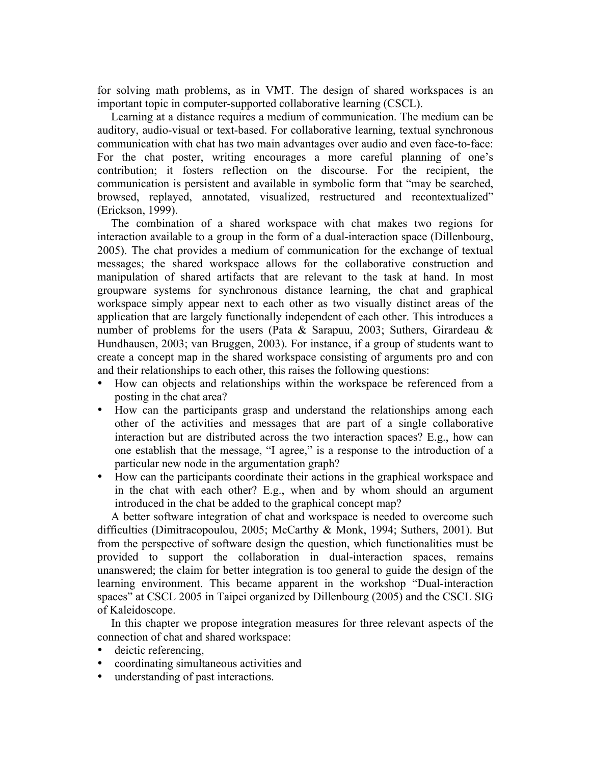for solving math problems, as in VMT. The design of shared workspaces is an important topic in computer-supported collaborative learning (CSCL).

Learning at a distance requires a medium of communication. The medium can be auditory, audio-visual or text-based. For collaborative learning, textual synchronous communication with chat has two main advantages over audio and even face-to-face: For the chat poster, writing encourages a more careful planning of one's contribution; it fosters reflection on the discourse. For the recipient, the communication is persistent and available in symbolic form that "may be searched, browsed, replayed, annotated, visualized, restructured and recontextualized" (Erickson, 1999).

The combination of a shared workspace with chat makes two regions for interaction available to a group in the form of a dual-interaction space (Dillenbourg, 2005). The chat provides a medium of communication for the exchange of textual messages; the shared workspace allows for the collaborative construction and manipulation of shared artifacts that are relevant to the task at hand. In most groupware systems for synchronous distance learning, the chat and graphical workspace simply appear next to each other as two visually distinct areas of the application that are largely functionally independent of each other. This introduces a number of problems for the users (Pata & Sarapuu, 2003; Suthers, Girardeau & Hundhausen, 2003; van Bruggen, 2003). For instance, if a group of students want to create a concept map in the shared workspace consisting of arguments pro and con and their relationships to each other, this raises the following questions:

- How can objects and relationships within the workspace be referenced from a posting in the chat area?
- How can the participants grasp and understand the relationships among each other of the activities and messages that are part of a single collaborative interaction but are distributed across the two interaction spaces? E.g., how can one establish that the message, "I agree," is a response to the introduction of a particular new node in the argumentation graph?
- How can the participants coordinate their actions in the graphical workspace and in the chat with each other? E.g., when and by whom should an argument introduced in the chat be added to the graphical concept map?

A better software integration of chat and workspace is needed to overcome such difficulties (Dimitracopoulou, 2005; McCarthy & Monk, 1994; Suthers, 2001). But from the perspective of software design the question, which functionalities must be provided to support the collaboration in dual-interaction spaces, remains unanswered; the claim for better integration is too general to guide the design of the learning environment. This became apparent in the workshop "Dual-interaction spaces" at CSCL 2005 in Taipei organized by Dillenbourg (2005) and the CSCL SIG of Kaleidoscope.

In this chapter we propose integration measures for three relevant aspects of the connection of chat and shared workspace:

- deictic referencing,
- coordinating simultaneous activities and
- understanding of past interactions.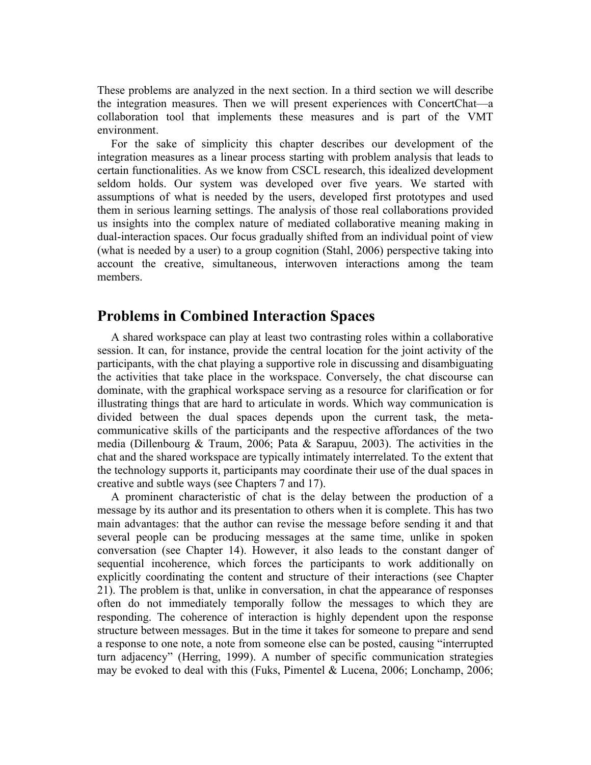These problems are analyzed in the next section. In a third section we will describe the integration measures. Then we will present experiences with ConcertChat—a collaboration tool that implements these measures and is part of the VMT environment.

For the sake of simplicity this chapter describes our development of the integration measures as a linear process starting with problem analysis that leads to certain functionalities. As we know from CSCL research, this idealized development seldom holds. Our system was developed over five years. We started with assumptions of what is needed by the users, developed first prototypes and used them in serious learning settings. The analysis of those real collaborations provided us insights into the complex nature of mediated collaborative meaning making in dual-interaction spaces. Our focus gradually shifted from an individual point of view (what is needed by a user) to a group cognition (Stahl, 2006) perspective taking into account the creative, simultaneous, interwoven interactions among the team members.

## **Problems in Combined Interaction Spaces**

A shared workspace can play at least two contrasting roles within a collaborative session. It can, for instance, provide the central location for the joint activity of the participants, with the chat playing a supportive role in discussing and disambiguating the activities that take place in the workspace. Conversely, the chat discourse can dominate, with the graphical workspace serving as a resource for clarification or for illustrating things that are hard to articulate in words. Which way communication is divided between the dual spaces depends upon the current task, the metacommunicative skills of the participants and the respective affordances of the two media (Dillenbourg & Traum, 2006; Pata & Sarapuu, 2003). The activities in the chat and the shared workspace are typically intimately interrelated. To the extent that the technology supports it, participants may coordinate their use of the dual spaces in creative and subtle ways (see Chapters 7 and 17).

A prominent characteristic of chat is the delay between the production of a message by its author and its presentation to others when it is complete. This has two main advantages: that the author can revise the message before sending it and that several people can be producing messages at the same time, unlike in spoken conversation (see Chapter 14). However, it also leads to the constant danger of sequential incoherence, which forces the participants to work additionally on explicitly coordinating the content and structure of their interactions (see Chapter 21). The problem is that, unlike in conversation, in chat the appearance of responses often do not immediately temporally follow the messages to which they are responding. The coherence of interaction is highly dependent upon the response structure between messages. But in the time it takes for someone to prepare and send a response to one note, a note from someone else can be posted, causing "interrupted turn adjacency" (Herring, 1999). A number of specific communication strategies may be evoked to deal with this (Fuks, Pimentel & Lucena, 2006; Lonchamp, 2006;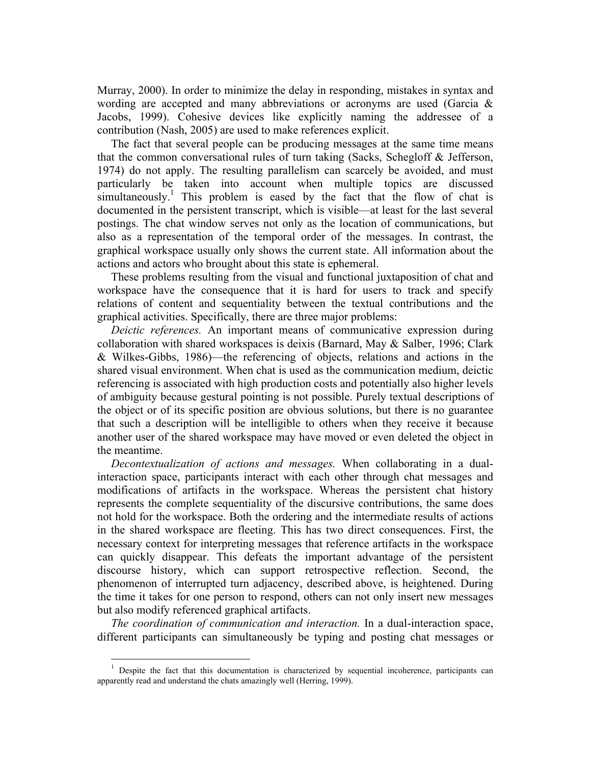Murray, 2000). In order to minimize the delay in responding, mistakes in syntax and wording are accepted and many abbreviations or acronyms are used (Garcia  $\&$ Jacobs, 1999). Cohesive devices like explicitly naming the addressee of a contribution (Nash, 2005) are used to make references explicit.

The fact that several people can be producing messages at the same time means that the common conversational rules of turn taking (Sacks, Schegloff & Jefferson, 1974) do not apply. The resulting parallelism can scarcely be avoided, and must particularly be taken into account when multiple topics are discussed simultaneously.<sup>1</sup> This problem is eased by the fact that the flow of chat is documented in the persistent transcript, which is visible—at least for the last several postings. The chat window serves not only as the location of communications, but also as a representation of the temporal order of the messages. In contrast, the graphical workspace usually only shows the current state. All information about the actions and actors who brought about this state is ephemeral.

These problems resulting from the visual and functional juxtaposition of chat and workspace have the consequence that it is hard for users to track and specify relations of content and sequentiality between the textual contributions and the graphical activities. Specifically, there are three major problems:

*Deictic references.* An important means of communicative expression during collaboration with shared workspaces is deixis (Barnard, May & Salber, 1996; Clark & Wilkes-Gibbs, 1986)—the referencing of objects, relations and actions in the shared visual environment. When chat is used as the communication medium, deictic referencing is associated with high production costs and potentially also higher levels of ambiguity because gestural pointing is not possible. Purely textual descriptions of the object or of its specific position are obvious solutions, but there is no guarantee that such a description will be intelligible to others when they receive it because another user of the shared workspace may have moved or even deleted the object in the meantime.

*Decontextualization of actions and messages.* When collaborating in a dualinteraction space, participants interact with each other through chat messages and modifications of artifacts in the workspace. Whereas the persistent chat history represents the complete sequentiality of the discursive contributions, the same does not hold for the workspace. Both the ordering and the intermediate results of actions in the shared workspace are fleeting. This has two direct consequences. First, the necessary context for interpreting messages that reference artifacts in the workspace can quickly disappear. This defeats the important advantage of the persistent discourse history, which can support retrospective reflection. Second, the phenomenon of interrupted turn adjacency, described above, is heightened. During the time it takes for one person to respond, others can not only insert new messages but also modify referenced graphical artifacts.

*The coordination of communication and interaction.* In a dual-interaction space, different participants can simultaneously be typing and posting chat messages or

 <sup>1</sup> Despite the fact that this documentation is characterized by sequential incoherence, participants can apparently read and understand the chats amazingly well (Herring, 1999).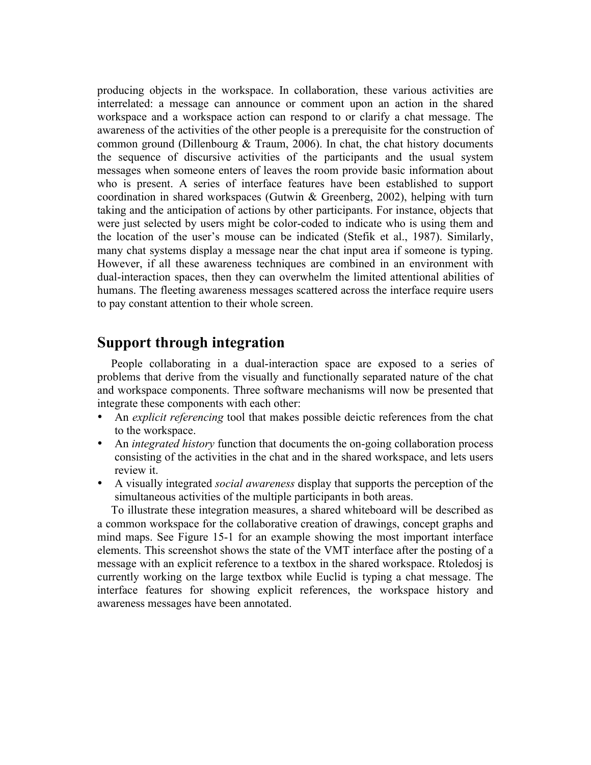producing objects in the workspace. In collaboration, these various activities are interrelated: a message can announce or comment upon an action in the shared workspace and a workspace action can respond to or clarify a chat message. The awareness of the activities of the other people is a prerequisite for the construction of common ground (Dillenbourg & Traum, 2006). In chat, the chat history documents the sequence of discursive activities of the participants and the usual system messages when someone enters of leaves the room provide basic information about who is present. A series of interface features have been established to support coordination in shared workspaces (Gutwin & Greenberg, 2002), helping with turn taking and the anticipation of actions by other participants. For instance, objects that were just selected by users might be color-coded to indicate who is using them and the location of the user's mouse can be indicated (Stefik et al., 1987). Similarly, many chat systems display a message near the chat input area if someone is typing. However, if all these awareness techniques are combined in an environment with dual-interaction spaces, then they can overwhelm the limited attentional abilities of humans. The fleeting awareness messages scattered across the interface require users to pay constant attention to their whole screen.

# **Support through integration**

People collaborating in a dual-interaction space are exposed to a series of problems that derive from the visually and functionally separated nature of the chat and workspace components. Three software mechanisms will now be presented that integrate these components with each other:

- An *explicit referencing* tool that makes possible deictic references from the chat to the workspace.
- An *integrated history* function that documents the on-going collaboration process consisting of the activities in the chat and in the shared workspace, and lets users review it.
- A visually integrated *social awareness* display that supports the perception of the simultaneous activities of the multiple participants in both areas.

To illustrate these integration measures, a shared whiteboard will be described as a common workspace for the collaborative creation of drawings, concept graphs and mind maps. See Figure 15-1 for an example showing the most important interface elements. This screenshot shows the state of the VMT interface after the posting of a message with an explicit reference to a textbox in the shared workspace. Rtoledosj is currently working on the large textbox while Euclid is typing a chat message. The interface features for showing explicit references, the workspace history and awareness messages have been annotated.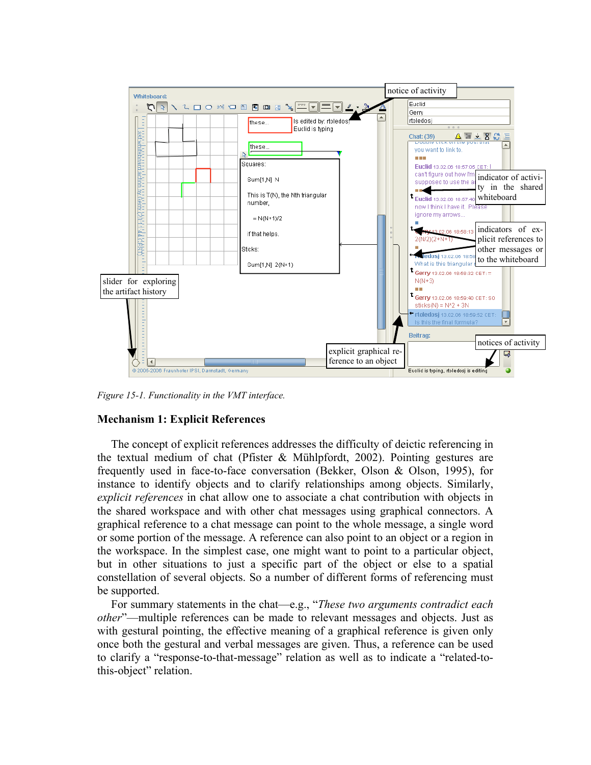

*Figure 15-1. Functionality in the VMT interface.*

### **Mechanism 1: Explicit References**

The concept of explicit references addresses the difficulty of deictic referencing in the textual medium of chat (Pfister & Mühlpfordt, 2002). Pointing gestures are frequently used in face-to-face conversation (Bekker, Olson & Olson, 1995), for instance to identify objects and to clarify relationships among objects. Similarly, *explicit references* in chat allow one to associate a chat contribution with objects in the shared workspace and with other chat messages using graphical connectors. A graphical reference to a chat message can point to the whole message, a single word or some portion of the message. A reference can also point to an object or a region in the workspace. In the simplest case, one might want to point to a particular object, but in other situations to just a specific part of the object or else to a spatial constellation of several objects. So a number of different forms of referencing must be supported.

For summary statements in the chat—e.g., "*These two arguments contradict each other*"—multiple references can be made to relevant messages and objects. Just as with gestural pointing, the effective meaning of a graphical reference is given only once both the gestural and verbal messages are given. Thus, a reference can be used to clarify a "response-to-that-message" relation as well as to indicate a "related-tothis-object" relation.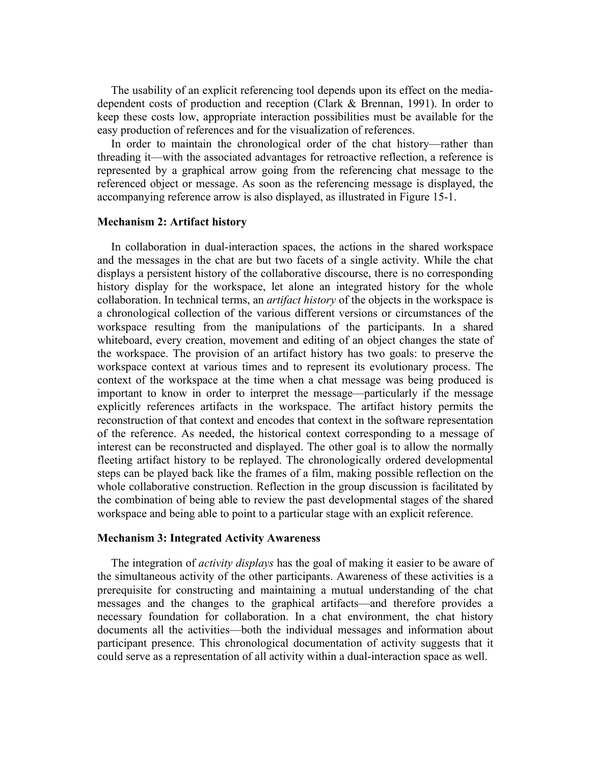The usability of an explicit referencing tool depends upon its effect on the mediadependent costs of production and reception (Clark & Brennan, 1991). In order to keep these costs low, appropriate interaction possibilities must be available for the easy production of references and for the visualization of references.

In order to maintain the chronological order of the chat history—rather than threading it—with the associated advantages for retroactive reflection, a reference is represented by a graphical arrow going from the referencing chat message to the referenced object or message. As soon as the referencing message is displayed, the accompanying reference arrow is also displayed, as illustrated in Figure 15-1.

### **Mechanism 2: Artifact history**

In collaboration in dual-interaction spaces, the actions in the shared workspace and the messages in the chat are but two facets of a single activity. While the chat displays a persistent history of the collaborative discourse, there is no corresponding history display for the workspace, let alone an integrated history for the whole collaboration. In technical terms, an *artifact history* of the objects in the workspace is a chronological collection of the various different versions or circumstances of the workspace resulting from the manipulations of the participants. In a shared whiteboard, every creation, movement and editing of an object changes the state of the workspace. The provision of an artifact history has two goals: to preserve the workspace context at various times and to represent its evolutionary process. The context of the workspace at the time when a chat message was being produced is important to know in order to interpret the message—particularly if the message explicitly references artifacts in the workspace. The artifact history permits the reconstruction of that context and encodes that context in the software representation of the reference. As needed, the historical context corresponding to a message of interest can be reconstructed and displayed. The other goal is to allow the normally fleeting artifact history to be replayed. The chronologically ordered developmental steps can be played back like the frames of a film, making possible reflection on the whole collaborative construction. Reflection in the group discussion is facilitated by the combination of being able to review the past developmental stages of the shared workspace and being able to point to a particular stage with an explicit reference.

#### **Mechanism 3: Integrated Activity Awareness**

The integration of *activity displays* has the goal of making it easier to be aware of the simultaneous activity of the other participants. Awareness of these activities is a prerequisite for constructing and maintaining a mutual understanding of the chat messages and the changes to the graphical artifacts—and therefore provides a necessary foundation for collaboration. In a chat environment, the chat history documents all the activities—both the individual messages and information about participant presence. This chronological documentation of activity suggests that it could serve as a representation of all activity within a dual-interaction space as well.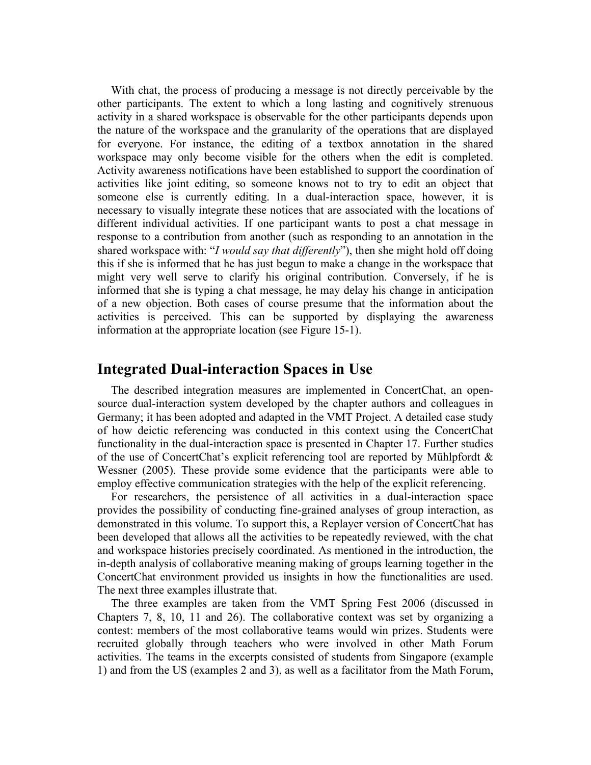With chat, the process of producing a message is not directly perceivable by the other participants. The extent to which a long lasting and cognitively strenuous activity in a shared workspace is observable for the other participants depends upon the nature of the workspace and the granularity of the operations that are displayed for everyone. For instance, the editing of a textbox annotation in the shared workspace may only become visible for the others when the edit is completed. Activity awareness notifications have been established to support the coordination of activities like joint editing, so someone knows not to try to edit an object that someone else is currently editing. In a dual-interaction space, however, it is necessary to visually integrate these notices that are associated with the locations of different individual activities. If one participant wants to post a chat message in response to a contribution from another (such as responding to an annotation in the shared workspace with: "*I would say that differently*"), then she might hold off doing this if she is informed that he has just begun to make a change in the workspace that might very well serve to clarify his original contribution. Conversely, if he is informed that she is typing a chat message, he may delay his change in anticipation of a new objection. Both cases of course presume that the information about the activities is perceived. This can be supported by displaying the awareness information at the appropriate location (see Figure 15-1).

### **Integrated Dual-interaction Spaces in Use**

The described integration measures are implemented in ConcertChat, an opensource dual-interaction system developed by the chapter authors and colleagues in Germany; it has been adopted and adapted in the VMT Project. A detailed case study of how deictic referencing was conducted in this context using the ConcertChat functionality in the dual-interaction space is presented in Chapter 17. Further studies of the use of ConcertChat's explicit referencing tool are reported by Mühlpfordt & Wessner (2005). These provide some evidence that the participants were able to employ effective communication strategies with the help of the explicit referencing.

For researchers, the persistence of all activities in a dual-interaction space provides the possibility of conducting fine-grained analyses of group interaction, as demonstrated in this volume. To support this, a Replayer version of ConcertChat has been developed that allows all the activities to be repeatedly reviewed, with the chat and workspace histories precisely coordinated. As mentioned in the introduction, the in-depth analysis of collaborative meaning making of groups learning together in the ConcertChat environment provided us insights in how the functionalities are used. The next three examples illustrate that.

The three examples are taken from the VMT Spring Fest 2006 (discussed in Chapters 7, 8, 10, 11 and 26). The collaborative context was set by organizing a contest: members of the most collaborative teams would win prizes. Students were recruited globally through teachers who were involved in other Math Forum activities. The teams in the excerpts consisted of students from Singapore (example 1) and from the US (examples 2 and 3), as well as a facilitator from the Math Forum,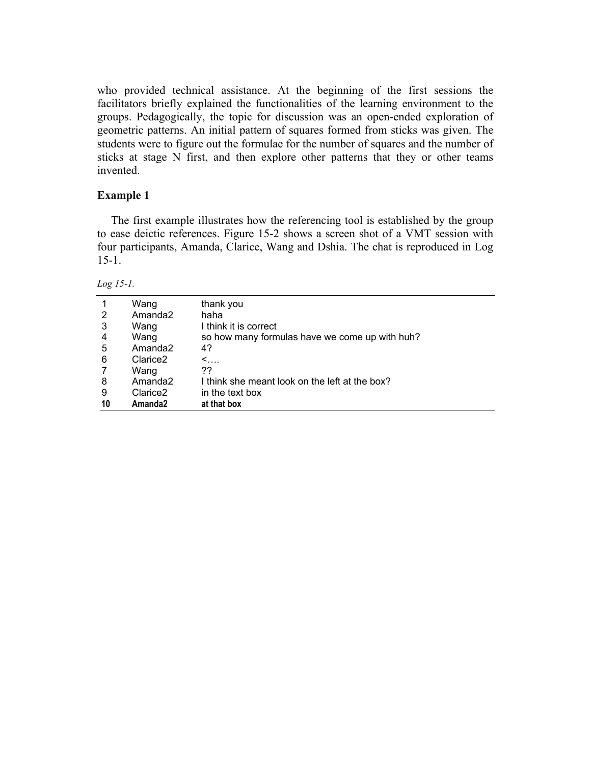who provided technical assistance. At the beginning of the first sessions the facilitators briefly explained the functionalities of the learning environment to the groups. Pedagogically, the topic for discussion was an open-ended exploration of geometric patterns. An initial pattern of squares formed from sticks was given. The students were to figure out the formulae for the number of squares and the number of sticks at stage N first, and then explore other patterns that they or other teams invented.

### **Example 1**

The first example illustrates how the referencing tool is established by the group to ease deictic references. Figure 15-2 shows a screen shot of a VMT session with four participants, Amanda, Clarice, Wang and Dshia. The chat is reproduced in Log 15-1.

*Log 15-1.*

|    | Wang                 | thank you                                      |
|----|----------------------|------------------------------------------------|
| 2  | Amanda2              | haha                                           |
| 3  | Wang                 | I think it is correct                          |
| 4  | Wang                 | so how many formulas have we come up with huh? |
| 5  | Amanda2              | 4?                                             |
| 6  | Clarice <sub>2</sub> | $\leq$                                         |
|    | Wang                 | ??                                             |
| 8  | Amanda2              | I think she meant look on the left at the box? |
| 9  | Clarice <sub>2</sub> | in the text box                                |
| 10 | Amanda2              | at that box                                    |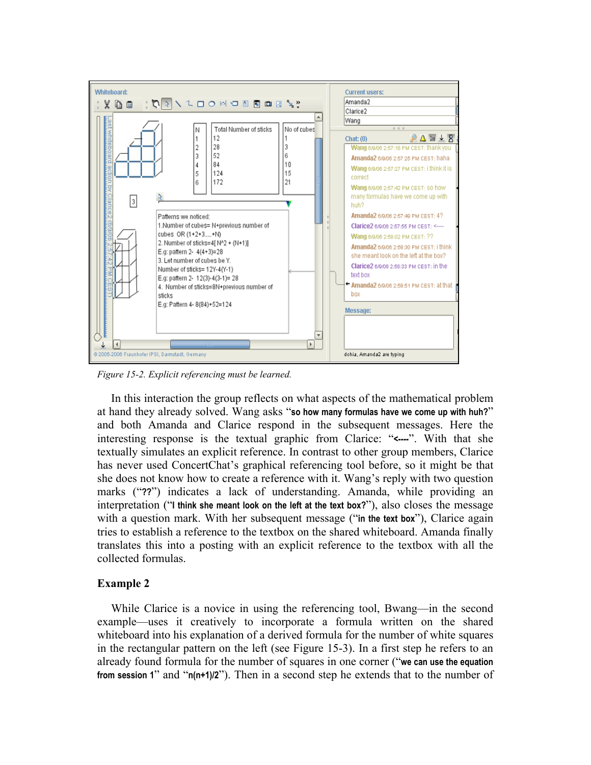

*Figure 15-2. Explicit referencing must be learned.*

In this interaction the group reflects on what aspects of the mathematical problem at hand they already solved. Wang asks "**so how many formulas have we come up with huh?**" and both Amanda and Clarice respond in the subsequent messages. Here the interesting response is the textual graphic from Clarice: "**<----**". With that she textually simulates an explicit reference. In contrast to other group members, Clarice has never used ConcertChat's graphical referencing tool before, so it might be that she does not know how to create a reference with it. Wang's reply with two question marks ("**??**") indicates a lack of understanding. Amanda, while providing an interpretation ("**I think she meant look on the left at the text box?**"), also closes the message with a question mark. With her subsequent message ("in the text box"), Clarice again tries to establish a reference to the textbox on the shared whiteboard. Amanda finally translates this into a posting with an explicit reference to the textbox with all the collected formulas.

### **Example 2**

While Clarice is a novice in using the referencing tool, Bwang—in the second example—uses it creatively to incorporate a formula written on the shared whiteboard into his explanation of a derived formula for the number of white squares in the rectangular pattern on the left (see Figure 15-3). In a first step he refers to an already found formula for the number of squares in one corner ("**we can use the equation from session 1**" and "**n(n+1)/2**"). Then in a second step he extends that to the number of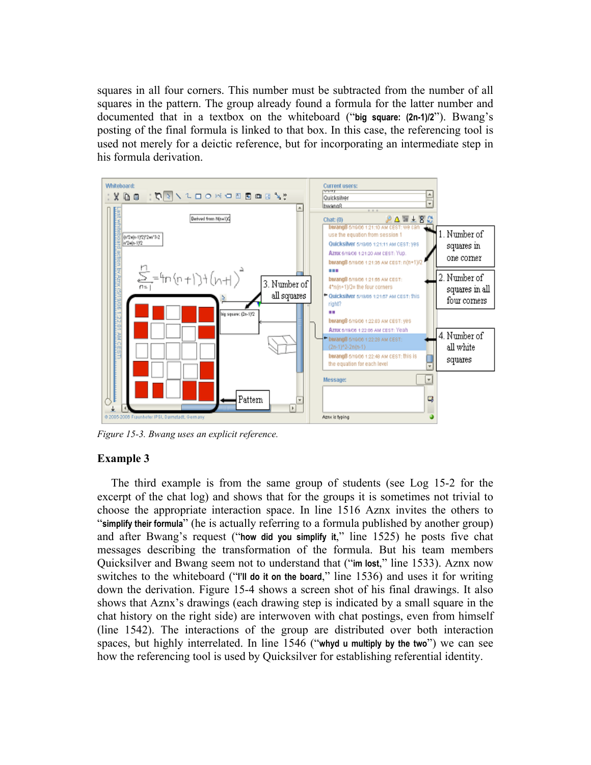squares in all four corners. This number must be subtracted from the number of all squares in the pattern. The group already found a formula for the latter number and documented that in a textbox on the whiteboard ("**big square: (2n-1)/2**"). Bwang's posting of the final formula is linked to that box. In this case, the referencing tool is used not merely for a deictic reference, but for incorporating an intermediate step in his formula derivation.



*Figure 15-3. Bwang uses an explicit reference.* 

### **Example 3**

The third example is from the same group of students (see Log 15-2 for the excerpt of the chat log) and shows that for the groups it is sometimes not trivial to choose the appropriate interaction space. In line 1516 Aznx invites the others to "**simplify their formula**" (he is actually referring to a formula published by another group) and after Bwang's request ("**how did you simplify it**," line 1525) he posts five chat messages describing the transformation of the formula. But his team members Quicksilver and Bwang seem not to understand that ("**im lost**," line 1533). Aznx now switches to the whiteboard ("I'll **do it on the board**," line 1536) and uses it for writing down the derivation. Figure 15-4 shows a screen shot of his final drawings. It also shows that Aznx's drawings (each drawing step is indicated by a small square in the chat history on the right side) are interwoven with chat postings, even from himself (line 1542). The interactions of the group are distributed over both interaction spaces, but highly interrelated. In line 1546 ("**whyd u multiply by the two**") we can see how the referencing tool is used by Quicksilver for establishing referential identity.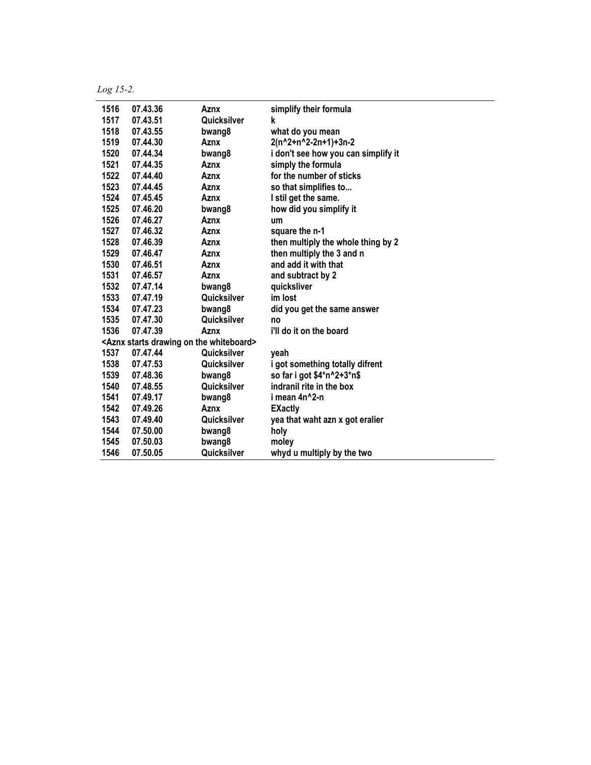| Log 15-2. |  |
|-----------|--|
|           |  |

| 1516                                                          | 07.43.36 | Aznx        | simplify their formula              |  |  |  |  |
|---------------------------------------------------------------|----------|-------------|-------------------------------------|--|--|--|--|
| 1517                                                          | 07.43.51 | Quicksilver | k                                   |  |  |  |  |
| 1518                                                          | 07.43.55 | bwang8      | what do you mean                    |  |  |  |  |
| 1519                                                          | 07.44.30 | Aznx        | 2(n^2+n^2-2n+1)+3n-2                |  |  |  |  |
| 1520                                                          | 07.44.34 | bwang8      | i don't see how you can simplify it |  |  |  |  |
| 1521                                                          | 07.44.35 | Aznx        | simply the formula                  |  |  |  |  |
| 1522                                                          | 07.44.40 | Aznx        | for the number of sticks            |  |  |  |  |
| 1523                                                          | 07.44.45 | Aznx        | so that simplifies to               |  |  |  |  |
| 1524                                                          | 07.45.45 | Aznx        | I stil get the same.                |  |  |  |  |
| 1525                                                          | 07.46.20 | bwang8      | how did you simplify it             |  |  |  |  |
| 1526                                                          | 07.46.27 | Aznx        | um                                  |  |  |  |  |
| 1527                                                          | 07.46.32 | Aznx        | square the n-1                      |  |  |  |  |
| 1528                                                          | 07.46.39 | <b>Aznx</b> | then multiply the whole thing by 2  |  |  |  |  |
| 1529                                                          | 07.46.47 | <b>Aznx</b> | then multiply the 3 and n           |  |  |  |  |
| 1530                                                          | 07.46.51 | Aznx        | and add it with that                |  |  |  |  |
| 1531                                                          | 07.46.57 | Aznx        | and subtract by 2                   |  |  |  |  |
| 1532                                                          | 07.47.14 | bwang8      | quicksliver                         |  |  |  |  |
| 1533                                                          | 07.47.19 | Quicksilver | im lost                             |  |  |  |  |
| 1534                                                          | 07.47.23 | bwang8      | did you get the same answer         |  |  |  |  |
| 1535                                                          | 07.47.30 | Quicksilver | no                                  |  |  |  |  |
| 1536                                                          | 07.47.39 | Aznx        | i'll do it on the board             |  |  |  |  |
| <aznx drawing="" on="" starts="" the="" whiteboard=""></aznx> |          |             |                                     |  |  |  |  |
| 1537                                                          | 07.47.44 | Quicksilver | veah                                |  |  |  |  |
| 1538                                                          | 07.47.53 | Quicksilver | i got something totally difrent     |  |  |  |  |
| 1539                                                          | 07.48.36 | bwang8      | so far i got \$4*n^2+3*n\$          |  |  |  |  |
| 1540                                                          | 07.48.55 | Quicksilver | indranil rite in the box            |  |  |  |  |
| 1541                                                          | 07.49.17 | bwang8      | i mean 4n^2-n                       |  |  |  |  |
| 1542                                                          | 07.49.26 | Aznx        | <b>EXactly</b>                      |  |  |  |  |
| 1543                                                          | 07.49.40 | Quicksilver | yea that waht azn x got eralier     |  |  |  |  |
| 1544                                                          | 07.50.00 | bwang8      | holy                                |  |  |  |  |
| 1545                                                          | 07.50.03 | bwang8      | moley                               |  |  |  |  |
| 1546                                                          | 07.50.05 | Quicksilver | whyd u multiply by the two          |  |  |  |  |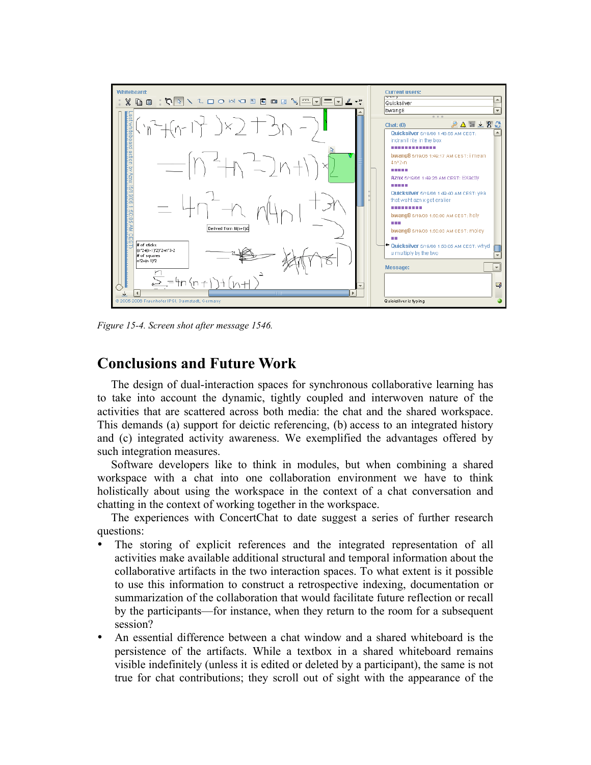

*Figure 15-4. Screen shot after message 1546.*

## **Conclusions and Future Work**

The design of dual-interaction spaces for synchronous collaborative learning has to take into account the dynamic, tightly coupled and interwoven nature of the activities that are scattered across both media: the chat and the shared workspace. This demands (a) support for deictic referencing, (b) access to an integrated history and (c) integrated activity awareness. We exemplified the advantages offered by such integration measures.

Software developers like to think in modules, but when combining a shared workspace with a chat into one collaboration environment we have to think holistically about using the workspace in the context of a chat conversation and chatting in the context of working together in the workspace.

The experiences with ConcertChat to date suggest a series of further research questions:

- The storing of explicit references and the integrated representation of all activities make available additional structural and temporal information about the collaborative artifacts in the two interaction spaces. To what extent is it possible to use this information to construct a retrospective indexing, documentation or summarization of the collaboration that would facilitate future reflection or recall by the participants—for instance, when they return to the room for a subsequent session?
- An essential difference between a chat window and a shared whiteboard is the persistence of the artifacts. While a textbox in a shared whiteboard remains visible indefinitely (unless it is edited or deleted by a participant), the same is not true for chat contributions; they scroll out of sight with the appearance of the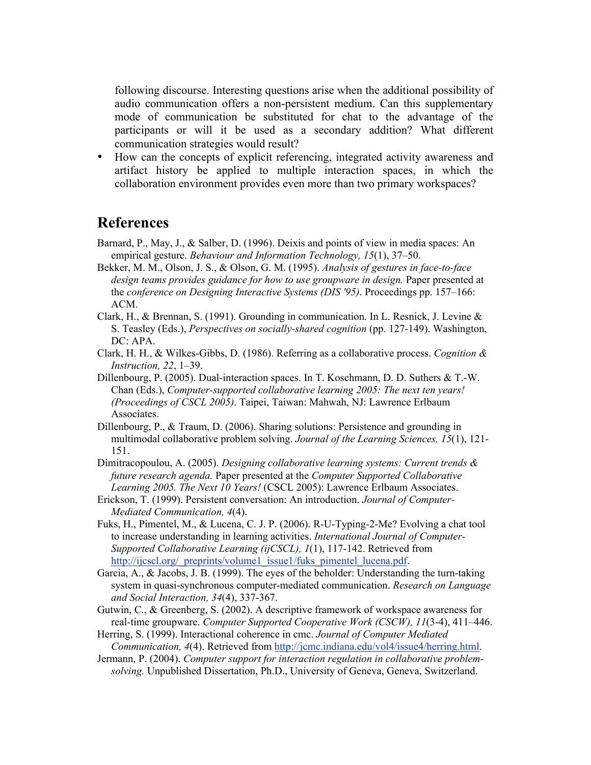following discourse. Interesting questions arise when the additional possibility of audio communication offers a non-persistent medium. Can this supplementary mode of communication be substituted for chat to the advantage of the participants or will it be used as a secondary addition? What different communication strategies would result?

• How can the concepts of explicit referencing, integrated activity awareness and artifact history be applied to multiple interaction spaces, in which the collaboration environment provides even more than two primary workspaces?

# **References**

- Barnard, P., May, J., & Salber, D. (1996). Deixis and points of view in media spaces: An empirical gesture. *Behaviour and Information Technology, 15*(1), 37–50.
- Bekker, M. M., Olson, J. S., & Olson, G. M. (1995). *Analysis of gestures in face-to-face design teams provides guidance for how to use groupware in design.* Paper presented at the *conference on Designing Interactive Systems (DIS '95)*. Proceedings pp. 157–166: ACM.
- Clark, H., & Brennan, S. (1991). Grounding in communication. In L. Resnick, J. Levine & S. Teasley (Eds.), *Perspectives on socially-shared cognition* (pp. 127-149). Washington, DC: APA.
- Clark, H. H., & Wilkes-Gibbs, D. (1986). Referring as a collaborative process. *Cognition & Instruction, 22*, 1–39.
- Dillenbourg, P. (2005). Dual-interaction spaces. In T. Koschmann, D. D. Suthers & T.-W. Chan (Eds.), *Computer-supported collaborative learning 2005: The next ten years! (Proceedings of CSCL 2005)*. Taipei, Taiwan: Mahwah, NJ: Lawrence Erlbaum Associates.
- Dillenbourg, P., & Traum, D. (2006). Sharing solutions: Persistence and grounding in multimodal collaborative problem solving. *Journal of the Learning Sciences, 15*(1), 121- 151.
- Dimitracopoulou, A. (2005). *Designing collaborative learning systems: Current trends & future research agenda.* Paper presented at the *Computer Supported Collaborative Learning 2005. The Next 10 Years!* (CSCL 2005): Lawrence Erlbaum Associates.
- Erickson, T. (1999). Persistent conversation: An introduction. *Journal of Computer-Mediated Communication, 4*(4).
- Fuks, H., Pimentel, M., & Lucena, C. J. P. (2006). R-U-Typing-2-Me? Evolving a chat tool to increase understanding in learning activities. *International Journal of Computer-Supported Collaborative Learning (ijCSCL), 1*(1), 117-142. Retrieved from http://ijcscl.org/\_preprints/volume1\_issue1/fuks\_pimentel\_lucena.pdf.
- Garcia, A., & Jacobs, J. B. (1999). The eyes of the beholder: Understanding the turn-taking system in quasi-synchronous computer-mediated communication. *Research on Language and Social Interaction, 34*(4), 337-367.
- Gutwin, C., & Greenberg, S. (2002). A descriptive framework of workspace awareness for real-time groupware. *Computer Supported Cooperative Work (CSCW), 11*(3-4), 411–446.
- Herring, S. (1999). Interactional coherence in cmc. *Journal of Computer Mediated Communication, 4*(4). Retrieved from http://jcmc.indiana.edu/vol4/issue4/herring.html.
- Jermann, P. (2004). *Computer support for interaction regulation in collaborative problemsolving.* Unpublished Dissertation, Ph.D., University of Geneva, Geneva, Switzerland.